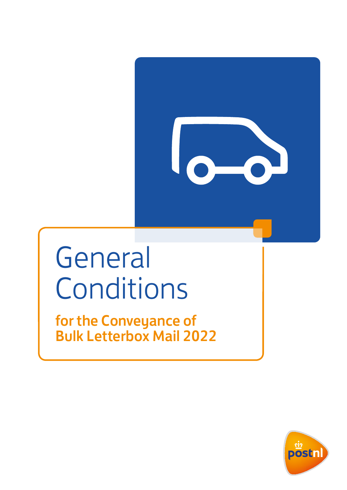

# General Conditions

for the Conveyance of Bulk Letterbox Mail 2022

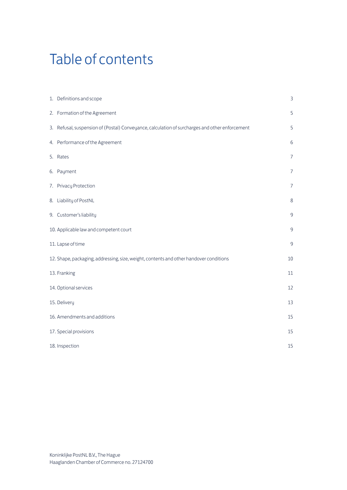## Table of contents

| 1. Definitions and scope                                                                       | 3              |
|------------------------------------------------------------------------------------------------|----------------|
| 2. Formation of the Agreement                                                                  | 5              |
| 3. Refusal, suspension of (Postal) Conveyance, calculation of surcharges and other enforcement | 5              |
| 4. Performance of the Agreement                                                                | 6              |
| 5. Rates                                                                                       | $\overline{7}$ |
| 6. Payment                                                                                     | $\overline{7}$ |
| 7. Privacy Protection                                                                          | 7              |
| 8. Liability of PostNL                                                                         | 8              |
| 9. Customer's liability                                                                        | 9              |
| 10. Applicable law and competent court                                                         | $\overline{9}$ |
| 11. Lapse of time                                                                              | $\overline{9}$ |
| 12. Shape, packaging, addressing, size, weight, contents and other handover conditions         | 10             |
| 13. Franking                                                                                   | 11             |
| 14. Optional services                                                                          | 12             |
| 15. Delivery                                                                                   | 13             |
| 16. Amendments and additions                                                                   | 15             |
| 17. Special provisions                                                                         | 15             |
| 18. Inspection                                                                                 | 15             |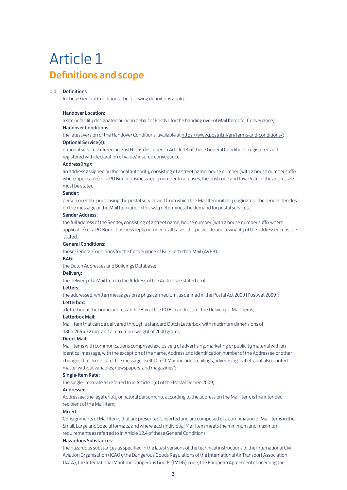## Article 1 Definitions and scope

### 1.1 Definitions

In these General Conditions, the following definitions apply:

### Handover Location:

a site or facility designated by or on behalf of PostNL for the handing over of Mail Items for Conveyance; Handover Conditions:

the latest version of the Handover Conditions, available at [https://www.postnl.nl/en/terms-and-conditions/](http://www.postnl.nl/algemene-voorwaarden/alle-voorwaarden); Optional Service(s):

optional services offered by PostNL, as described in Article 14 of these General Conditions: registered and registered with declaration of value/ insured conveyance;

### Address(ing):

an address assigned by the local authority, consisting of a street name, house number (with a house number suffix where applicable) or a PO Box or business reply number. In all cases, the postcode and town/city of the addressee must be stated.

### Sender:

person or entity purchasing the postal service and from which the Mail Item initially originates. The sender decides on the message of the Mail Item and in this way determines the demand for postal services;

### Sender Address:

the full address of the Sender, consisting of a street name, house number (with a house number suffix where applicable) or a PO Box or business reply number In all cases, the postcode and town/city of the addressee must be stated.

#### General Conditions:

these General Conditions for the Conveyance of Bulk Letterbox Mail (AVPB);

### BAG:

the Dutch Addresses and Buildings Database;

### **Deliveru:**

the delivery of a Mail Item to the Address of the Addressee stated on it;

### Letters:

the addressed, written messages on a physical medium, as defined in the Postal Act 2009 [Postwet 2009];

### Letterbox:

a letterbox at the home address or PO Box at the PO Box address for the Delivery of Mail Items;

### Letterbox Mail:

Mail Item that can be delivered through a standard Dutch Letterbox, with maximum dimensions of 380 x 265 x 32 mm and a maximum weight of 2000 grams.

#### Direct Mail:

Mail items with communications comprised exclusively of advertising, marketing or publicity material with an identical message, with the exception of the name, Address and identification number of the Addressee or other changes that do not alter the message itself. Direct Mail includes mailings, advertising leaflets, but also printed matter without variables, newspapers, and magazines\*;

#### Single-Item Rate:

the single-item rate as referred to in Article 1(c) of the Postal Decree 2009;

### Addressee:

Addressee: the legal entity or natural person who, according to the address on the Mail Item, is the intended recipient of the Mail Item;

### Mixed:

Consignments of Mail Items that are presented Unsorted and are composed of a combination of Mail Items in the Small, Large and Special formats, and where each individual Mail Item meets the minimum and maximum requirements as referred to in Article 12.4 of these General Conditions;

### Hazardous Substances:

 the hazardous substances as specified in the latest versions of the technical instructions of the International Civil Aviation Organisation (ICAO), the Dangerous Goods Regulations of the International Air Transport Association (IATA), the International Maritime Dangerous Goods (IMDG) code, the European Agreement concerning the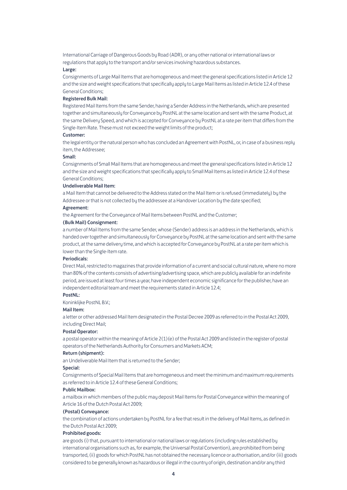International Carriage of Dangerous Goods by Road (ADR), or any other national or international laws or regulations that apply to the transport and/or services involving hazardous substances.

### Large:

Consignments of Large Mail Items that are homogeneous and meet the general specifications listed in Article 12 and the size and weight specifications that specifically apply to Large Mail Items as listed in Article 12.4 of these General Conditions;

### Registered Bulk Mail:

Registered Mail Items from the same Sender, having a Sender Address in the Netherlands, which are presented together and simultaneously for Conveyance by PostNL at the same location and sent with the same Product, at the same Delivery Speed, and which is accepted for Conveyance by PostNL at a rate per item that differs from the Single-Item Rate. These must not exceed the weight limits of the product;

### Customer:

the legal entity or the natural person who has concluded an Agreement with PostNL, or, in case of a business reply item, the Addressee;

### Small:

Consignments of Small Mail Items that are homogeneous and meet the general specifications listed in Article 12 and the size and weight specifications that specifically apply to Small Mail Items as listed in Article 12.4 of these General Conditions;

### Undeliverable Mail Item:

a Mail Item that cannot be delivered to the Address stated on the Mail Item or is refused (immediately) by the Addressee or that is not collected by the addressee at a Handover Location by the date specified;

### Agreement:

the Agreement for the Conveyance of Mail Items between PostNL and the Customer;

### (Bulk Mail) Consignment:

a number of Mail Items from the same Sender, whose (Sender) address is an address in the Netherlands, which is handed over together and simultaneously for Conveyance by PostNL at the same location and sent with the same product, at the same delivery time, and which is accepted for Conveyance by PostNL at a rate per item which is lower than the Single-Item rate.

### Periodicals:

Direct Mail, restricted to magazines that provide information of a current and social cultural nature, where no more than 80% of the contents consists of advertising/advertising space, which are publicly available for an indefinite period, are issued at least four times a year, have independent economic significance for the publisher, have an independent editorial team and meet the requirements stated in Article 12.4;

### PostNL:

Koninklijke PostNL B.V.;

### Mail Item:

a letter or other addressed Mail Item designated in the Postal Decree 2009 as referred to in the Postal Act 2009, including Direct Mail;

### Postal Operator:

a postal operator within the meaning of Article 2(1)(e) of the Postal Act 2009 and listed in the register of postal operators of the Netherlands Authority for Consumers and Markets ACM;

### Return (shipment):

an Undeliverable Mail Item that is returned to the Sender;

### Special:

Consignments of Special Mail Items that are homogeneous and meet the minimum and maximum requirements as referred to in Article 12.4 of these General Conditions;

### Public Mailbox:

a mailbox in which members of the public may deposit Mail Items for Postal Conveyance within the meaning of Article 16 of the Dutch Postal Act 2009;

### (Postal) Conveyance:

the combination of actions undertaken by PostNL for a fee that result in the delivery of Mail Items, as defined in the Dutch Postal Act 2009;

### Prohibited goods:

 are goods (i) that, pursuant to international or national laws or regulations (including rules established by international organisations such as, for example, the Universal Postal Convention), are prohibited from being transported, (ii) goods for which PostNL has not obtained the necessary licence or authorisation, and/or (iii) goods considered to be generally known as hazardous or illegal in the country of origin, destination and/or any third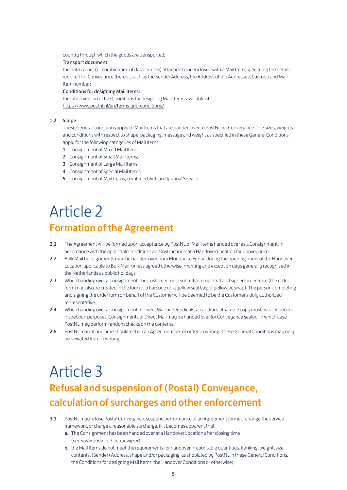country through which the goods are transported;

### Transport document:

the data carrier (or combination of data carriers) attached to or enclosed with a Mail Item, specifying the details required for Conveyance thereof, such as the Sender Address, the Address of the Addressee, barcode and Mail Item number;

### Conditions for designing Mail Items:

the latest version of the Conditions for designing Mail Items, available at [https://www.postnl.nl/en/terms-and-conditions/](http://www.postnl.nl/algemene-voorwaarden/alle-voorwaarden)

### 1.2 Scope

 These General Conditions apply to Mail Items that are handed over to PostNL for Conveyance. The sizes, weights and conditions with respect to shape, packaging, message and weight as specified in these General Conditions apply for the following categories of Mail Items:

- 1 Consignment of Mixed Mail Items;
- 2 Consignment of Small Mail Items:
- 3 Consignment of Large Mail Items;
- 4 Consignment of Special Mail Items;
- 5 Consignment of Mail Items, combined with an Optional Service.

## Article 2 Formation of the Agreement

- 2.1 The Agreement will be formed upon acceptance by PostNL of Mail Items handed over as a Consignment, in accordance with the applicable conditions and instructions, at a Handover Location for Conveyance.
- 2.2 Bulk Mail Consignments may be handed over from Monday to Friday during the opening hours of the Handover Location applicable to Bulk Mail, unless agreed otherwise in writing and except on days generally recognised in the Netherlands as public holidaus.
- 2.3 When handing over a Consignment, the Customer must submit a completed and signed order form (the order form may also be created in the form of a barcode on a yellow seal bag or yellow tie wrap). The person completing and signing the order form on behalf of the Customer will be deemed to be the Customer's duly authorized representative.
- 2.4 When handing over a Consignment of Direct Mail or Periodicals, an additional sample copy must be included for inspection purposes. Consignments of Direct Mail may be handed over for Conveyance sealed, in which case PostNL may perform random checks on the contents.
- 2.5 PostNL may at any time stipulate than an Agreement be recorded in writing. These General Conditions may only be deviated from in writing.

## Article 3 Refusal and suspension of (Postal) Conveyance, calculation of surcharges and other enforcement

- 3.1 PostNL may refuse Postal Conveyance, suspend performance of an Agreement formed, change the service framework, or charge a reasonable surcharge, if it becomes apparent that:
	- a. The Consignment has been handed over at a Handover Location after closing time (see www.postnl.nl/locatiewijzer);
	- b. the Mail Items do not meet the requirements for handover in countable quantities, franking, weight, size, contents, (Sender) Address, shape and/or packaging, as stipulated by PostNL in these General Conditions, the Conditions for designing Mail Items, the Handover Conditions or otherwise;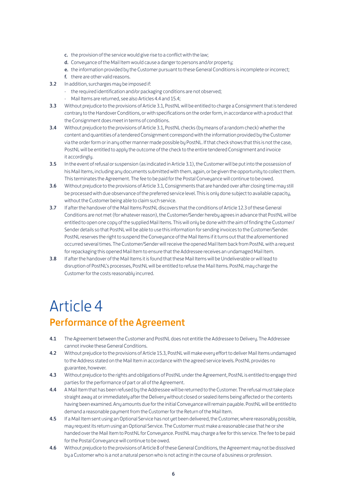- c. the provision of the service would give rise to a conflict with the law;
- d. Conveyance of the Mail Item would cause a danger to persons and/or property:
- e. the information provided by the Customer pursuant to these General Conditions is incomplete or incorrect:
- f. there are other valid reasons.
- 3.2 In addition, surcharges may be imposed if:
	- the required identification and/or packaging conditions are not observed;
	- Mail Items are returned, see also Articles 4.4 and 15.4;
- 3.3 Without prejudice to the provisions of Article 3.1, PostNL will be entitled to charge a Consignment that is tendered contrary to the Handover Conditions, or with specifications on the order form, in accordance with a product that the Consignment does meet in terms of conditions.
- 3.4 Without prejudice to the provisions of Article 3.1, PostNL checks (by means of a random check) whether the content and quantities of a tendered Consignment correspond with the information provided by the Customer via the order form or in any other manner made possible by PostNL. If that check shows that this is not the case, PostNL will be entitled to apply the outcome of the check to the entire tendered Consignment and invoice it accordingly.
- 3.5 In the event of refusal or suspension (as indicated in Article 3.1), the Customer will be put into the possession of his Mail Items, including any documents submitted with them, again, or be given the opportunity to collect them. This terminates the Agreement. The fee to be paid for the Postal Conveyance will continue to be owed.
- 3.6 Without prejudice to the provisions of Article 3.1, Consignments that are handed over after closing time may still be processed with due observance of the preferred service level. This is only done subject to available capacity, without the Customer being able to claim such service.
- 3.7 If after the handover of the Mail Items PostNL discovers that the conditions of Article 12.3 of these General Conditions are not met (for whatever reason), the Customer/Sender hereby agrees in advance that PostNL will be entitled to open one copy of the supplied Mail Items. This will only be done with the aim of finding the Customer/ Sender details so that PostNL will be able to use this information for sending invoices to the Customer/Sender. PostNL reserves the right to suspend the Conveyance of the Mail Items if it turns out that the aforementioned occurred several times. The Customer/Sender will receive the opened Mail Item back from PostNL with a request for repackaging this opened Mail Item to ensure that the Addressee receives an undamaged Mail Item.
- 3.8 If after the handover of the Mail Items it is found that these Mail Items will be Undeliverable or will lead to disruption of PostNL's processes, PostNL will be entitled to refuse the Mail Items. PostNL may charge the Customer for the costs reasonably incurred.

## Article 4

### Performance of the Agreement

- 4.1 The Agreement between the Customer and PostNL does not entitle the Addressee to Delivery. The Addressee cannot invoke these General Conditions.
- 4.2 Without prejudice to the provisions of Article 15.3, PostNL will make every effort to deliver Mail Items undamaged to the Address stated on the Mail Item in accordance with the agreed service levels. PostNL provides no guarantee, however.
- 4.3 Without prejudice to the rights and obligations of PostNL under the Agreement, PostNL is entitled to engage third parties for the performance of part or all of the Agreement.
- 4.4 A Mail Item that has been refused by the Addressee will be returned to the Customer. The refusal must take place straight away at or immediately after the Delivery without closed or sealed items being affected or the contents having been examined. Any amounts due for the initial Conveyance will remain payable. PostNL will be entitled to demand a reasonable payment from the Customer for the Return of the Mail Item.
- 4.5 If a Mail Item sent using an Optional Service has not yet been delivered, the Customer, where reasonably possible, may request its return using an Optional Service. The Customer must make a reasonable case that he or she handed over the Mail Item to PostNL for Conveyance. PostNL may charge a fee for this service. The fee to be paid for the Postal Conveyance will continue to be owed.
- 4.6 Without prejudice to the provisions of Article 8 of these General Conditions, the Agreement may not be dissolved by a Customer who is a not a natural person who is not acting in the course of a business or profession.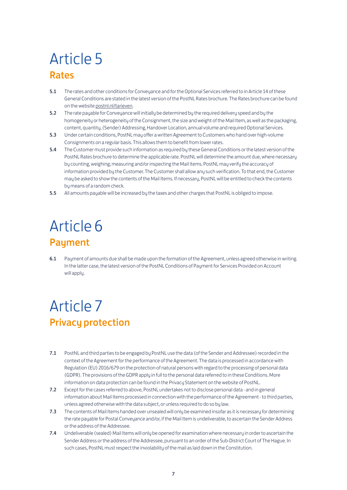## Article 5 Rates

- 5.1 The rates and other conditions for Conveyance and for the Optional Services referred to in Article 14 of these General Conditions are stated in the latest version of the PostNL Rates brochure. The Rates brochure can be found on the website [postnl.nl/tarieven](http://postnl.nl/tarieven).
- 5.2 The rate payable for Conveyance will initially be determined by the required delivery speed and by the homogeneity or heterogeneity of the Consignment, the size and weight of the Mail Item, as well as the packaging, content, quantity, (Sender) Addressing, Handover Location, annual volume and required Optional Services.
- 5.3 Under certain conditions, PostNL may offer a written Agreement to Customers who hand over high-volume Consignments on a regular basis. This allows them to benefit from lower rates.
- 5.4 The Customer must provide such information as required by these General Conditions or the latest version of the PostNL Rates brochure to determine the applicable rate. PostNL will determine the amount due, where necessary by counting, weighing, measuring and/or inspecting the Mail Items. PostNL may verify the accuracy of information provided by the Customer. The Customer shall allow any such verification. To that end, the Customer may be asked to show the contents of the Mail Items. If necessary, PostNL will be entitled to check the contents by means of a random check.
- 5.5 All amounts payable will be increased by the taxes and other charges that PostNL is obliged to impose.

## Article 6 Payment

6.1 Payment of amounts due shall be made upon the formation of the Agreement, unless agreed otherwise in writing. In the latter case, the latest version of the PostNL Conditions of Payment for Services Provided on Account will applu.

## Article 7 Privacy protection

- 7.1 PostNL and third parties to be engaged by PostNL use the data (of the Sender and Addressee) recorded in the context of the Agreement for the performance of the Agreement. The data is processed in accordance with Regulation (EU) 2016/679 on the protection of natural persons with regard to the processing of personal data (GDPR). The provisions of the GDPR apply in full to the personal data referred to in these Conditions. More information on data protection can be found in the Privacu Statement on the website of PostNL.
- 7.2 Except for the cases referred to above, PostNL undertakes not to disclose personal data and in general information about Mail Items processed in connection with the performance of the Agreement - to third parties, unless agreed otherwise with the data subject, or unless required to do so by law.
- 7.3 The contents of Mail Items handed over unsealed will only be examined insofar as it is necessary for determining the rate payable for Postal Conveyance and/or, if the Mail Item is undeliverable, to ascertain the Sender Address or the address of the Addressee.
- 7.4 Undeliverable (sealed) Mail Items will only be opened for examination where necessary in order to ascertain the Sender Address or the address of the Addressee, pursuant to an order of the Sub-District Court of The Hague. In such cases, PostNL must respect the inviolability of the mail as laid down in the Constitution.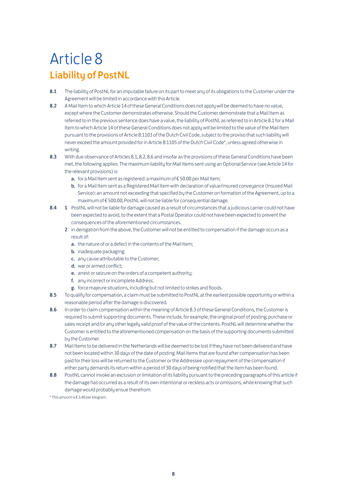## Article 8 Liability of PostNL

- 8.1 The liability of PostNL for an imputable failure on its part to meet any of its obligations to the Customer under the Agreement will be limited in accordance with this Article.
- 8.2 A Mail Item to which Article 14 of these General Conditions does not apply will be deemed to have no value, except where the Customer demonstrates otherwise. Should the Customer demonstrate that a Mail Item as referred to in the previous sentence does have a value, the liability of PostNL as referred to in Article 8.1 for a Mail Item to which Article 14 of these General Conditions does not apply will be limited to the value of the Mail Item pursuant to the provisions of Article 8:1103 of the Dutch Civil Code, subject to the proviso that such liability will never exceed the amount provided for in Article 8:1105 of the Dutch Civil Code\*, unless agreed otherwise in writing.
- 8.3 With due observance of Articles 8.1, 8.2, 8.6 and insofar as the provisions of these General Conditions have been met, the following applies: The maximum liability for Mail Items sent using an Optional Service (see Article 14 for the relevant provisions) is:
	- a. for a Mail Item sent as registered: a maximum of €50.00 per Mail Item;
	- b. for a Mail Item sent as a Registered Mail Item with declaration of value/insured conveyance (Insured Mail Service): an amount not exceeding that specified by the Customer on formation of the Agreement, up to a maximum of € 500.00; PostNL will not be liable for consequential damage.
- 8.4 1 PostNL will not be liable for damage caused as a result of circumstances that a judicious carrier could not have been expected to avoid, to the extent that a Postal Operator could not have been expected to prevent the consequences of the aforementioned circumstances.
	- 2 in derogation from the above, the Customer will not be entitled to compensation if the damage occurs as a result of:
		- a. the nature of or a defect in the contents of the Mail Item;
		- **b.** inadequate packaging;
		- c. any cause attributable to the Customer;
		- d. war or armed conflict;
		- e. arrest or seizure on the orders of a competent authority;
		- f. any incorrect or incomplete Address;
		- g. force majeure situations, including but not limited to strikes and floods.
- 8.5 To qualify for compensation, a claim must be submitted to PostNL at the earliest possible opportunity or within a reasonable period after the damage is discovered.
- 8.6 In order to claim compensation within the meaning of Article 8.3 of these General Conditions, the Customer is required to submit supporting documents. These include, for example, the original proof of posting, purchase or sales receipt and/or any other legally valid proof of the value of the contents. PostNL will determine whether the Customer is entitled to the aforementioned compensation on the basis of the supporting documents submitted by the Customer.
- 8.7 Mail Items to be delivered in the Netherlands will be deemed to be lost if they have not been delivered and have not been located within 30 days of the date of posting. Mail Items that are found after compensation has been paid for their loss will be returned to the Customer or the Addressee upon repayment of the compensation if either party demands its return within a period of 30 days of being notified that the item has been found.
- 8.8 PostNL cannot invoke an exclusion or limitation of its liability pursuant to the preceding paragraphs of this article if the damage has occurred as a result of its own intentional or reckless acts or omissions, while knowing that such damage would probably ensue therefrom.

\* This amount is € 3.40 per kilogram.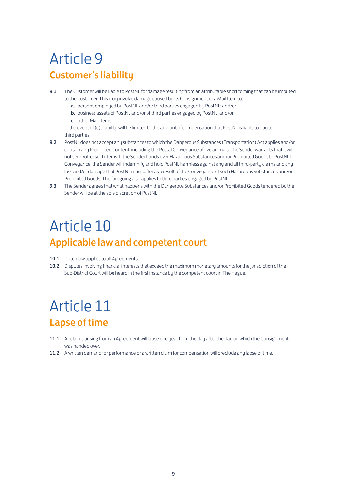## Article 9 Customer's liability

- 9.1 The Customer will be liable to PostNL for damage resulting from an attributable shortcoming that can be imputed to the Customer. This may involve damage caused by its Consignment or a Mail Item to:
	- a. persons employed by PostNL and/or third parties engaged by PostNL; and/or
	- b. business assets of PostNL and/or of third parties engaged by PostNL; and/or
	- c. other Mail Items.

 In the event of (c), liability will be limited to the amount of compensation that PostNL is liable to pay to third parties.

- 9.2 PostNL does not accept any substances to which the Dangerous Substances (Transportation) Act applies and/or contain any Prohibited Content, including the Postal Conveyance of live animals. The Sender warrants that it will not send/offer such items. If the Sender hands over Hazardous Substances and/or Prohibited Goods to PostNL for Conveyance, the Sender will indemnify and hold PostNL harmless against any and all third-party claims and any loss and/or damage that PostNL may suffer as a result of the Conveyance of such Hazardous Substances and/or Prohibited Goods. The foregoing also applies to third parties engaged by PostNL.
- 9.3 The Sender agrees that what happens with the Dangerous Substances and/or Prohibited Goods tendered bu the Sender will be at the sole discretion of PostNL.

## Article 10

### Applicable law and competent court

- 10.1 Dutch law applies to all Agreements.
- 10.2 Disputes involving financial interests that exceed the maximum monetary amounts for the jurisdiction of the Sub-District Court will be heard in the first instance by the competent court in The Hague.

## Article 11 Lapse of time

- 11.1 All claims arising from an Agreement will lapse one year from the day after the day on which the Consignment was handed over.
- 11.2 A written demand for performance or a written claim for compensation will preclude any lapse of time.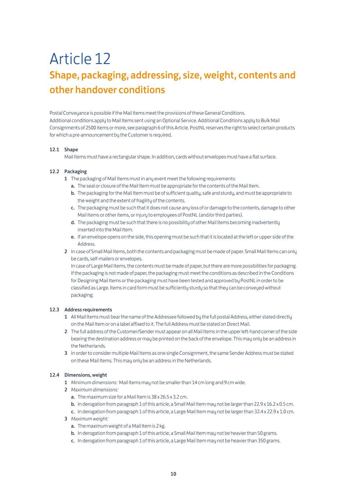## Article 12 Shape, packaging, addressing, size, weight, contents and other handover conditions

Postal Conveuance is possible if the Mail Items meet the provisions of these General Conditions. Additional conditions apply to Mail Items sent using an Optional Service. Additional Conditions apply to Bulk Mail Consignments of 2500 items or more, see paragraph 6 of this Article. PostNL reserves the right to select certain products for which a pre-announcement by the Customer is required.

### 12.1 Shape

Mail Items must have a rectangular shape. In addition, cards without envelopes must have a flat surface.

### 12.2 Packaging

- 1 The packaging of Mail Items must in any event meet the following requirements:
	- a. The seal or closure of the Mail Item must be appropriate for the contents of the Mail Item.
	- b. The packaging for the Mail Item must be of sufficient quality, safe and sturdy, and must be appropriate to the weight and the extent of fragility of the contents.
	- c. The packaging must be such that it does not cause any loss of or damage to the contents, damage to other Mail Items or other items, or injury to employees of PostNL (and/or third parties).
	- d. The packaging must be such that there is no possibility of other Mail Items becoming inadvertently inserted into the Mail Item.
	- e. If an envelope opens on the side, this opening must be such that it is located at the left or upper side of the Address.
- 2 In case of Small Mail Items, both the contents and packaging must be made of paper. Small Mail Items can only be cards, self-mailers or envelopes.

 In case of Large Mail Items, the contents must be made of paper, but there are more possibilities for packaging. If the packaging is not made of paper, the packaging must meet the conditions as described in the Conditions for Designing Mail Items or the packaging must have been tested and approved by PostNL in order to be classified as Large. Items in card form must be sufficiently sturdy so that they can be conveyed without packaging.

### 12.3 Address requirements

- 1 All Mail Items must bear the name of the Addressee followed bu the full postal Address, either stated directlu on the Mail Item or on a label affixed to it. The full Address must be stated on Direct Mail.
- 2 The full address of the Customer/Sender must appear on all Mail Items in the upper left-hand corner of the side bearing the destination address or may be printed on the back of the envelope. This may only be an address in the Netherlands.
- 3 In order to consider multiple Mail Items as one single Consignment, the same Sender Address must be stated on these Mail Items. This may only be an address in the Netherlands.

### 12.4 Dimensions, weight

- 1 *Minimum dimensions:* Mail Items may not be smaller than 14 cm long and 9 cm wide.
- 2 *Maximum dimensions:*
	- a. The maximum size for a Mail Item is 38 x 26.5 x 3.2 cm.
	- b. In derogation from paragraph 1 of this article, a Small Mail Item may not be larger than 22.9 x 16.2 x 0.5 cm.
	- c. In derogation from paragraph 1 of this article, a Large Mail Item may not be larger than 32.4 x 22.9 x 1.0 cm.
- 3 *Maximum weight:*
	- a. The maximum weight of a Mail Item is 2 kg.
	- b. In derogation from paragraph 1 of this article, a Small Mail Item may not be heavier than 50 grams.
	- c. In derogation from paragraph 1 of this article, a Large Mail Item may not be heavier than 350 grams.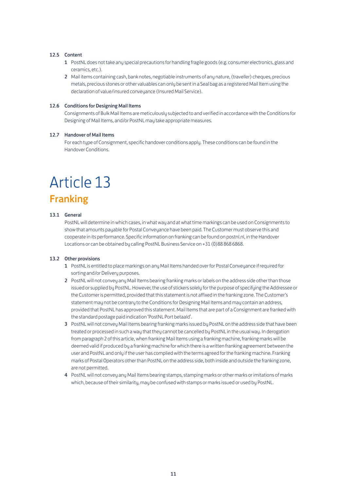### 12.5 Content

- 1 PostNL does not take any special precautions for handling fragile goods (e.g. consumer electronics, glass and ceramics, etc.).
- 2 Mail items containing cash, bank notes, negotiable instruments of any nature, (traveller) cheques, precious metals, precious stones or other valuables can only be sent in a Seal bag as a registered Mail Item using the declaration of value/insured conveyance (Insured Mail Service).

### 12.6 Conditions for Designing Mail Items

 Consignments of Bulk Mail Items are meticulously subjected to and verified in accordance with the Conditions for Designing of Mail Items, and/or PostNL may take appropriate measures.

### 12.7 Handover of Mail Items

 For each type of Consignment, specific handover conditions apply. These conditions can be found in the Handover Conditions.

## Article 13

### Franking

### 13.1 General

 PostNL will determine in which cases, in what way and at what time markings can be used on Consignments to show that amounts payable for Postal Conveyance have been paid. The Customer must observe this and cooperate in its performance. Specific information on franking can be found on postnl.nl, in the Handover Locations or can be obtained by calling PostNL Business Service on +31 (0)88 868 6868.

### 13.2 Other provisions

- 1 PostNL is entitled to place markings on any Mail Items handed over for Postal Conveyance if required for sorting and/or Delivery purposes.
- 2 PostNL will not convey any Mail Items bearing franking marks or labels on the address side other than those issued or supplied by PostNL. However, the use of stickers solely for the purpose of specifying the Addressee or the Customer is permitted, provided that this statement is not affixed in the franking zone. The Customer's statement may not be contrary to the Conditions for Designing Mail Items and may contain an address, provided that PostNL has approved this statement. Mail Items that are part of a Consignment are franked with the standard postage paid indication 'PostNL Port betaald'.
- 3 PostNL will not convey Mail Items bearing franking marks issued by PostNL on the address side that have been treated or processed in such a way that they cannot be cancelled by PostNL in the usual way. In derogation from paragraph 2 of this article, when franking Mail Items using a franking machine, franking marks will be deemed valid if produced by a franking machine for which there is a written franking agreement between the user and PostNL and only if the user has complied with the terms agreed for the franking machine. Franking marks of Postal Operators other than PostNL on the address side, both inside and outside the franking zone, are not permitted.
- 4 PostNL will not convey any Mail Items bearing stamps, stamping marks or other marks or imitations of marks which, because of their similarity, may be confused with stamps or marks issued or used by PostNL.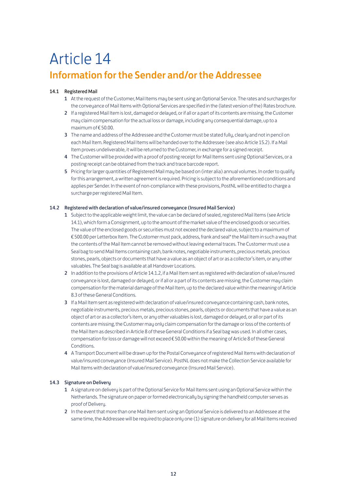## Article 14 Information for the Sender and/or the Addressee

### 14.1 Registered Mail

- 1 At the request of the Customer, Mail Items may be sent using an Optional Service. The rates and surcharges for the conveyance of Mail Items with Optional Services are specified in the (latest version of the) Rates brochure.
- 2 If a registered Mail Item is lost, damaged or delayed, or if all or a part of its contents are missing, the Customer may claim compensation for the actual loss or damage, including any consequential damage, up to a maximum of € 50.00.
- 3 The name and address of the Addressee and the Customer must be stated fully, clearly and not in pencil on each Mail Item. Registered Mail Items will be handed over to the Addressee (see also Article 15.2). If a Mail Item proves undeliverable, it will be returned to the Customer, in exchange for a signed receipt.
- 4 The Customer will be provided with a proof of posting receipt for Mail Items sent using Optional Services, or a posting receipt can be obtained from the track and trace barcode report.
- 5 Pricing for larger quantities of Registered Mail may be based on (inter alia) annual volumes. In order to qualify for this arrangement, a written agreement is required. Pricing is subject to the aforementioned conditions and applies per Sender. In the event of non-compliance with these provisions, PostNL will be entitled to charge a surcharge per registered Mail Item.

### 14.2 Registered with declaration of value/insured conveuance (Insured Mail Service)

- 1 Subject to the applicable weight limit, the value can be declared of sealed, registered Mail Items (see Article 14.1), which form a Consignment, up to the amount of the market value of the enclosed goods or securities. The value of the enclosed goods or securities must not exceed the declared value, subject to a maximum of € 500.00 per Letterbox Item. The Customer must pack, address, frank and seal\* the Mail Item in such a way that the contents of the Mail Item cannot be removed without leaving external traces. The Customer must use a Seal bag to send Mail Items containing cash, bank notes, negotiable instruments, precious metals, precious stones, pearls, objects or documents that have a value as an object of art or as a collector's item, or any other valuables. The Seal bag is available at all Handover Locations.
- 2 In addition to the provisions of Article 14.1.2, if a Mail Item sent as registered with declaration of value/insured conveyance is lost, damaged or delayed, or if all or a part of its contents are missing, the Customer may claim compensation for the material damage of the Mail Item, up to the declared value within the meaning of Article 8.3 of these General Conditions.
- 3 If a Mail Item sent as registered with declaration of value/insured conveuance containing cash, bank notes, negotiable instruments, precious metals, precious stones, pearls, objects or documents that have a value as an object of art or as a collector's item, or any other valuables is lost, damaged or delayed, or all or part of its contents are missing, the Customer may only claim compensation for the damage or loss of the contents of the Mail Item as described in Article 8 of these General Conditions if a Seal bag was used. In all other cases, compensation for loss or damage will not exceed € 50.00 within the meaning of Article 8 of these General Conditions.
- 4 A Transport Document will be drawn up for the Postal Conveyance of registered Mail Items with declaration of value/insured conveyance (Insured Mail Service). PostNL does not make the Collection Service available for Mail Items with declaration of value/insured conveyance (Insured Mail Service).

### 14.3 Signature on Deliveru

- 1 A signature on delivery is part of the Optional Service for Mail Items sent using an Optional Service within the Netherlands. The signature on paper or formed electronically by signing the handheld computer serves as proof of Delivery.
- 2 In the event that more than one Mail Item sent using an Optional Service is delivered to an Addressee at the same time, the Addressee will be required to place only one (1) signature on delivery for all Mail Items received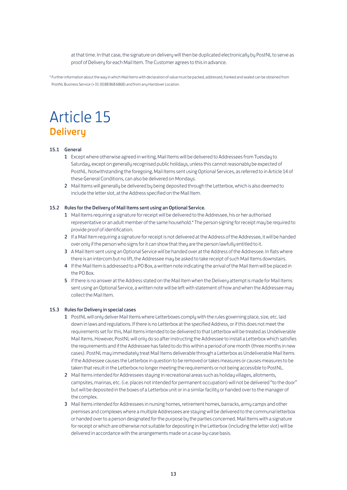at that time. In that case, the signature on delivery will then be duplicated electronically by PostNL to serve as proof of Delivery for each Mail Item. The Customer agrees to this in advance.

\* Further information about the way in which Mail Items with declaration of value must be packed, addressed, franked and sealed can be obtained from PostNL Business Service (+31 (0)88 868 6868) and from any Handover Location.

## Article 15 **Delivery**

### 15.1 General

- 1 Except where otherwise agreed in writing, Mail Items will be delivered to Addressees from Tuesday to Saturday, except on generally recognised public holidays, unless this cannot reasonably be expected of PostNL. Notwithstanding the foregoing, Mail Items sent using Optional Services, as referred to in Article 14 of these General Conditions, can also be delivered on Mondays.
- 2 Mail Items will generally be delivered by being deposited through the Letterbox, which is also deemed to include the letter slot, at the Address specified on the Mail Item.

### 15.2 Rules for the Delivery of Mail Items sent using an Optional Service.

- 1 Mail Items requiring a signature for receipt will be delivered to the Addressee, his or her authorised representative or an adult member of the same household.\* The person signing for receipt may be required to provide proof of identification.
- 2 If a Mail Item requiring a signature for receipt is not delivered at the Address of the Addressee, it will be handed over only if the person who signs for it can show that they are the person lawfully entitled to it.
- 3 A Mail Item sent using an Optional Service will be handed over at the Address of the Addressee. In flats where there is an intercom but no lift, the Addressee may be asked to take receipt of such Mail Items downstairs.
- 4 If the Mail Item is addressed to a PO Box, a written note indicating the arrival of the Mail Item will be placed in the PO Box.
- 5 If there is no answer at the Address stated on the Mail Item when the Delivery attempt is made for Mail Items sent using an Optional Service, a written note will be left with statement of how and when the Addressee may collect the Mail Item.

### 15.3 Rules for Deliveru in special cases

- 1 PostNL will only deliver Mail Items where Letterboxes comply with the rules governing place, size, etc. laid down in laws and regulations. If there is no Letterbox at the specified Address, or if this does not meet the requirements set for this, Mail Items intended to be delivered to that Letterbox will be treated as Undeliverable Mail Items. However, PostNL will only do so after instructing the Addressee to install a Letterbox which satisfies the requirements and if the Addressee has failed to do this within a period of one month (three months in new cases). PostNL may immediately treat Mail Items deliverable through a Letterbox as Undeliverable Mail Items if the Addressee causes the Letterbox in question to be removed or takes measures or causes measures to be taken that result in the Letterbox no longer meeting the requirements or not being accessible to PostNL.
- 2 Mail Items intended for Addressees staying in recreational areas such as holiday villages, allotments, campsites, marinas, etc. (i.e. places not intended for permanent occupation) will not be delivered "to the door" but will be deposited in the boxes of a Letterbox unit or in a similar facility or handed over to the manager of the complex.
- 3 Mail Items intended for Addressees in nursing homes, retirement homes, barracks, army camps and other premises and complexes where a multiple Addressees are staying will be delivered to the communal letterbox or handed over to a person designated for the purpose by the parties concerned. Mail Items with a signature for receipt or which are otherwise not suitable for depositing in the Letterbox (including the letter slot) will be delivered in accordance with the arrangements made on a case-by-case basis.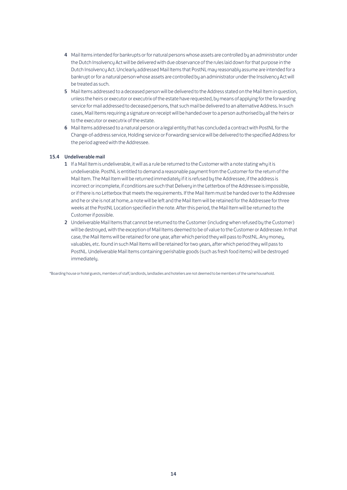- 4 Mail Items intended for bankrupts or for natural persons whose assets are controlled by an administrator under the Dutch Insolvency Act will be delivered with due observance of the rules laid down for that purpose in the Dutch Insolvency Act. Unclearly addressed Mail Items that PostNL may reasonably assume are intended for a bankrupt or for a natural person whose assets are controlled by an administrator under the Insolvency Act will be treated as such.
- 5 Mail Items addressed to a deceased person will be delivered to the Address stated on the Mail Item in question, unless the heirs or executor or executrix of the estate have requested, by means of applying for the forwarding service for mail addressed to deceased persons, that such mail be delivered to an alternative Address. In such cases, Mail Items requiring a signature on receipt will be handed over to a person authorised by all the heirs or to the executor or executrix of the estate.
- 6 Mail Items addressed to a natural person or a legal entity that has concluded a contract with PostNL for the Change-of-address service, Holding service or Forwarding service will be delivered to the specified Address for the period agreed with the Addressee.

### 15.4 Undeliverable mail

- 1 If a Mail Item is undeliverable, it will as a rule be returned to the Customer with a note stating why it is undeliverable. PostNL is entitled to demand a reasonable payment from the Customer for the return of the Mail Item. The Mail Item will be returned immediately if it is refused by the Addressee, if the address is incorrect or incomplete, if conditions are such that Delivery in the Letterbox of the Addressee is impossible, or if there is no Letterbox that meets the requirements. If the Mail Item must be handed over to the Addressee and he or she is not at home, a note will be left and the Mail Item will be retained for the Addressee for three weeks at the PostNL Location specified in the note. After this period, the Mail Item will be returned to the Customer if possible.
- 2 Undeliverable Mail Items that cannot be returned to the Customer (including when refused by the Customer) will be destroyed, with the exception of Mail Items deemed to be of value to the Customer or Addressee. In that case, the Mail Items will be retained for one year, after which period they will pass to PostNL. Any money, valuables, etc. found in such Mail Items will be retained for two years, after which period they will pass to PostNL. Undeliverable Mail Items containing perishable goods (such as fresh food items) will be destroyed immediately.

\*Boarding house or hotel guests, members of staff, landlords, landladies and hoteliers are not deemed to be members of the same household.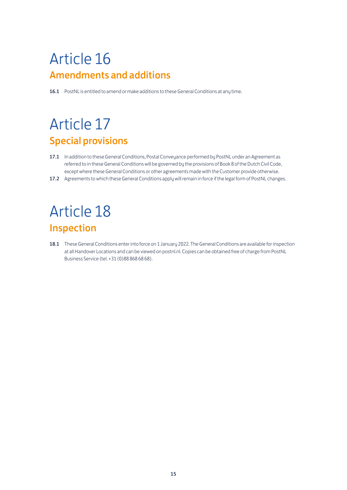## Article 16 Amendments and additions

16.1 PostNL is entitled to amend or make additions to these General Conditions at any time.

## Article 17 Special provisions

- 17.1 In addition to these General Conditions, Postal Conveyance performed by PostNL under an Agreement as referred to in these General Conditions will be governed by the provisions of Book 8 of the Dutch Civil Code, except where these General Conditions or other agreements made with the Customer provide otherwise.
- 17.2 Agreements to which these General Conditions apply will remain in force if the legal form of PostNL changes.

## Article 18 Inspection

18.1 These General Conditions enter into force on 1 January 2022. The General Conditions are available for inspection at all Handover Locations and can be viewed on postnl.nl. Copies can be obtained free of charge from PostNL Business Service (tel. +31 (0)88 868 68 68).